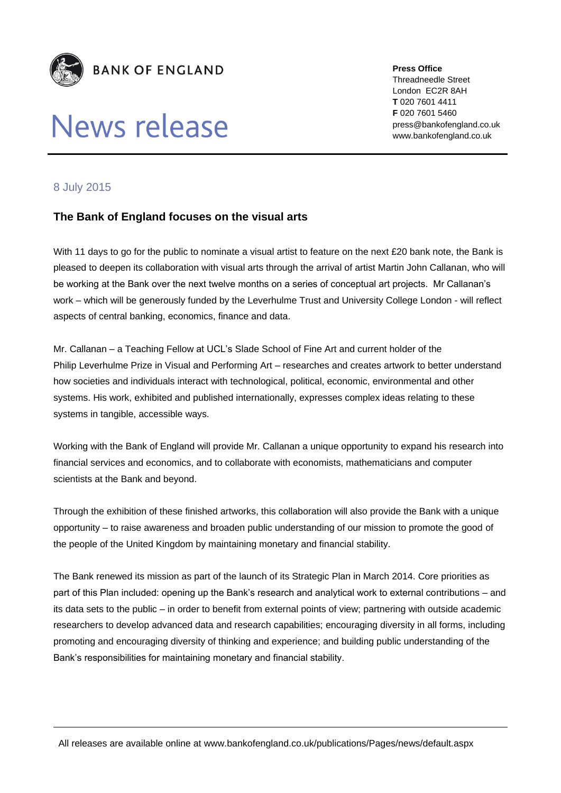

## News release

**Press Office** Threadneedle Street London EC2R 8AH **T** 020 7601 4411 **F** 020 7601 5460 press@bankofengland.co.uk www.bankofengland.co.uk

## 8 July 2015

## **The Bank of England focuses on the visual arts**

With 11 days to go for the public to nominate a visual artist to feature on the next £20 bank note, the Bank is pleased to deepen its collaboration with visual arts through the arrival of artist Martin John Callanan, who will be working at the Bank over the next twelve months on a series of conceptual art projects. Mr Callanan's work – which will be generously funded by the Leverhulme Trust and University College London - will reflect aspects of central banking, economics, finance and data.

Mr. Callanan – a Teaching Fellow at UCL's Slade School of Fine Art and current holder of the Philip Leverhulme Prize in Visual and Performing Art – researches and creates artwork to better understand how societies and individuals interact with technological, political, economic, environmental and other systems. His work, exhibited and published internationally, expresses complex ideas relating to these systems in tangible, accessible ways.

Working with the Bank of England will provide Mr. Callanan a unique opportunity to expand his research into financial services and economics, and to collaborate with economists, mathematicians and computer scientists at the Bank and beyond.

Through the exhibition of these finished artworks, this collaboration will also provide the Bank with a unique opportunity – to raise awareness and broaden public understanding of our mission to promote the good of the people of the United Kingdom by maintaining monetary and financial stability.

The Bank renewed its mission as part of the launch of its Strategic Plan in March 2014. Core priorities as part of this Plan included: opening up the Bank's research and analytical work to external contributions – and its data sets to the public – in order to benefit from external points of view; partnering with outside academic researchers to develop advanced data and research capabilities; encouraging diversity in all forms, including promoting and encouraging diversity of thinking and experience; and building public understanding of the Bank's responsibilities for maintaining monetary and financial stability.